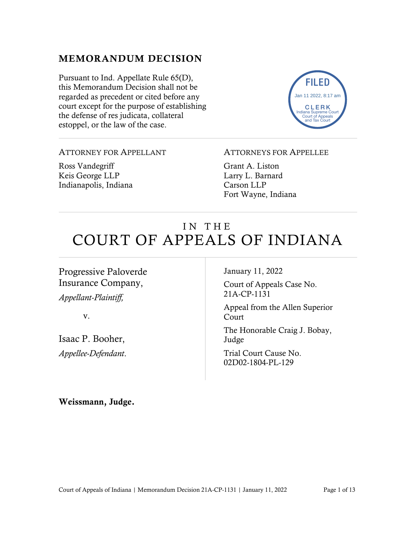### MEMORANDUM DECISION

Pursuant to Ind. Appellate Rule 65(D), this Memorandum Decision shall not be regarded as precedent or cited before any court except for the purpose of establishing the defense of res judicata, collateral estoppel, or the law of the case.



#### ATTORNEY FOR APPELLANT

Ross Vandegriff Keis George LLP Indianapolis, Indiana

#### ATTORNEYS FOR APPELLEE

Grant A. Liston Larry L. Barnard Carson LLP Fort Wayne, Indiana

# IN THE COURT OF APPEALS OF INDIANA

Progressive Paloverde Insurance Company,

*Appellant-Plaintiff,*

v.

Isaac P. Booher, *Appellee-Defendant*. January 11, 2022

Court of Appeals Case No. 21A-CP-1131

Appeal from the Allen Superior Court

The Honorable Craig J. Bobay, Judge

Trial Court Cause No. 02D02-1804-PL-129

Weissmann, Judge.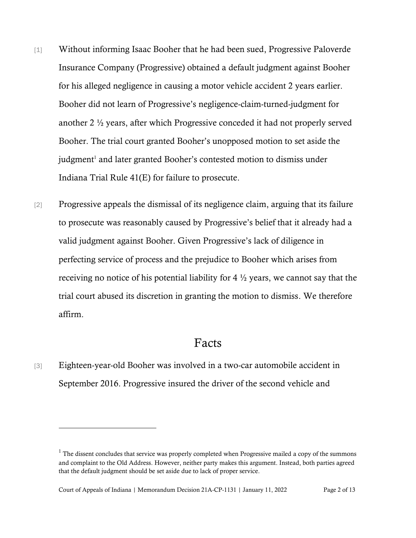- [1] Without informing Isaac Booher that he had been sued, Progressive Paloverde Insurance Company (Progressive) obtained a default judgment against Booher for his alleged negligence in causing a motor vehicle accident 2 years earlier. Booher did not learn of Progressive's negligence-claim-turned-judgment for another 2 ½ years, after which Progressive conceded it had not properly served Booher. The trial court granted Booher's unopposed motion to set aside the judgment<sup>1</sup> and later granted Booher's contested motion to dismiss under Indiana Trial Rule 41(E) for failure to prosecute.
- [2] Progressive appeals the dismissal of its negligence claim, arguing that its failure to prosecute was reasonably caused by Progressive's belief that it already had a valid judgment against Booher. Given Progressive's lack of diligence in perfecting service of process and the prejudice to Booher which arises from receiving no notice of his potential liability for 4 ½ years, we cannot say that the trial court abused its discretion in granting the motion to dismiss. We therefore affirm.

## Facts

[3] Eighteen-year-old Booher was involved in a two-car automobile accident in September 2016. Progressive insured the driver of the second vehicle and

 $<sup>1</sup>$  The dissent concludes that service was properly completed when Progressive mailed a copy of the summons</sup> and complaint to the Old Address. However, neither party makes this argument. Instead, both parties agreed that the default judgment should be set aside due to lack of proper service.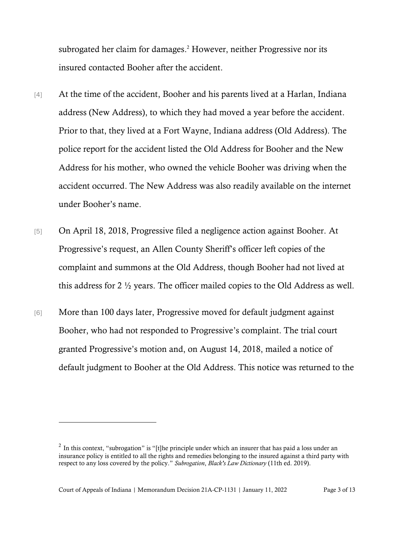subrogated her claim for damages. <sup>2</sup> However, neither Progressive nor its insured contacted Booher after the accident.

- [4] At the time of the accident, Booher and his parents lived at a Harlan, Indiana address (New Address), to which they had moved a year before the accident. Prior to that, they lived at a Fort Wayne, Indiana address (Old Address). The police report for the accident listed the Old Address for Booher and the New Address for his mother, who owned the vehicle Booher was driving when the accident occurred. The New Address was also readily available on the internet under Booher's name.
- [5] On April 18, 2018, Progressive filed a negligence action against Booher. At Progressive's request, an Allen County Sheriff's officer left copies of the complaint and summons at the Old Address, though Booher had not lived at this address for 2 ½ years. The officer mailed copies to the Old Address as well.
- [6] More than 100 days later, Progressive moved for default judgment against Booher, who had not responded to Progressive's complaint. The trial court granted Progressive's motion and, on August 14, 2018, mailed a notice of default judgment to Booher at the Old Address. This notice was returned to the

<sup>&</sup>lt;sup>2</sup> In this context, "subrogation" is "[t]he principle under which an insurer that has paid a loss under an insurance policy is entitled to all the rights and remedies belonging to the insured against a third party with respect to any loss covered by the policy." *Subrogation*, *Black's Law Dictionary* (11th ed. 2019).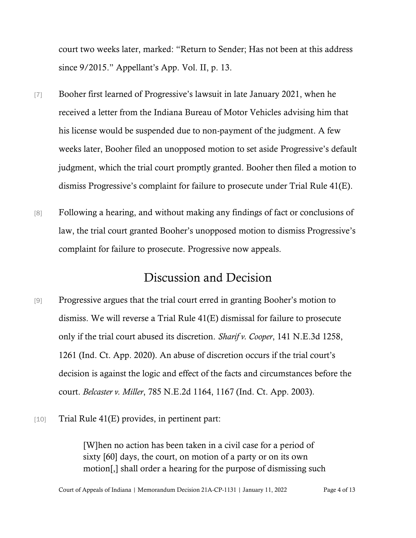court two weeks later, marked: "Return to Sender; Has not been at this address since 9/2015." Appellant's App. Vol. II, p. 13.

- [7] Booher first learned of Progressive's lawsuit in late January 2021, when he received a letter from the Indiana Bureau of Motor Vehicles advising him that his license would be suspended due to non-payment of the judgment. A few weeks later, Booher filed an unopposed motion to set aside Progressive's default judgment, which the trial court promptly granted. Booher then filed a motion to dismiss Progressive's complaint for failure to prosecute under Trial Rule 41(E).
- [8] Following a hearing, and without making any findings of fact or conclusions of law, the trial court granted Booher's unopposed motion to dismiss Progressive's complaint for failure to prosecute. Progressive now appeals.

### Discussion and Decision

- [9] Progressive argues that the trial court erred in granting Booher's motion to dismiss. We will reverse a Trial Rule 41(E) dismissal for failure to prosecute only if the trial court abused its discretion. *Sharif v. Cooper*, 141 N.E.3d 1258, 1261 (Ind. Ct. App. 2020). An abuse of discretion occurs if the trial court's decision is against the logic and effect of the facts and circumstances before the court. *Belcaster v. Miller*, 785 N.E.2d 1164, 1167 (Ind. Ct. App. 2003).
- $[10]$  Trial Rule 41(E) provides, in pertinent part:

[W]hen no action has been taken in a civil case for a period of sixty [60] days, the court, on motion of a party or on its own motion[,] shall order a hearing for the purpose of dismissing such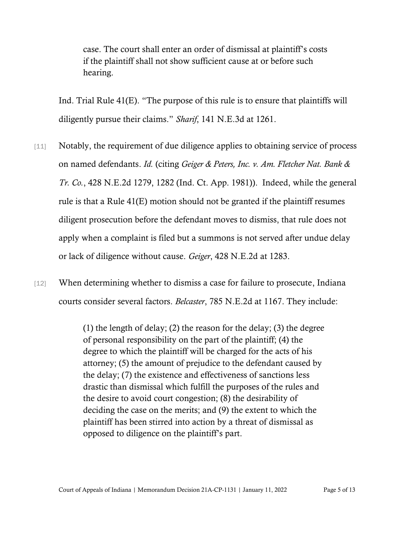case. The court shall enter an order of dismissal at plaintiff's costs if the plaintiff shall not show sufficient cause at or before such hearing.

Ind. Trial Rule 41(E). "The purpose of this rule is to ensure that plaintiffs will diligently pursue their claims." *Sharif*, 141 N.E.3d at 1261.

- [11] Notably, the requirement of due diligence applies to obtaining service of process on named defendants. *Id.* (citing *Geiger & Peters, Inc. v. Am. Fletcher Nat. Bank & Tr. Co.*, 428 N.E.2d 1279, 1282 (Ind. Ct. App. 1981)). Indeed, while the general rule is that a Rule 41(E) motion should not be granted if the plaintiff resumes diligent prosecution before the defendant moves to dismiss, that rule does not apply when a complaint is filed but a summons is not served after undue delay or lack of diligence without cause. *Geiger*, 428 N.E.2d at 1283.
- [12] When determining whether to dismiss a case for failure to prosecute, Indiana courts consider several factors. *Belcaster*, 785 N.E.2d at 1167. They include:

(1) the length of delay; (2) the reason for the delay; (3) the degree of personal responsibility on the part of the plaintiff; (4) the degree to which the plaintiff will be charged for the acts of his attorney; (5) the amount of prejudice to the defendant caused by the delay; (7) the existence and effectiveness of sanctions less drastic than dismissal which fulfill the purposes of the rules and the desire to avoid court congestion; (8) the desirability of deciding the case on the merits; and (9) the extent to which the plaintiff has been stirred into action by a threat of dismissal as opposed to diligence on the plaintiff's part.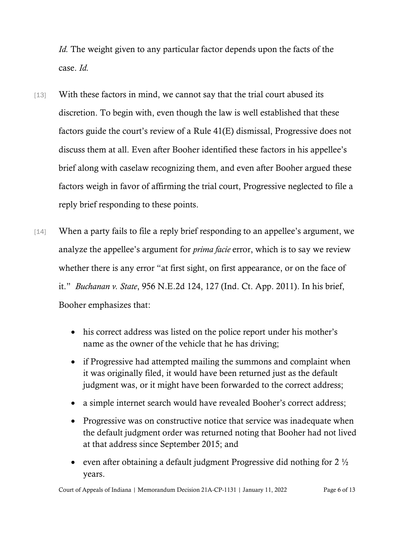*Id.* The weight given to any particular factor depends upon the facts of the case. *Id.*

- [13] With these factors in mind, we cannot say that the trial court abused its discretion. To begin with, even though the law is well established that these factors guide the court's review of a Rule 41(E) dismissal, Progressive does not discuss them at all. Even after Booher identified these factors in his appellee's brief along with caselaw recognizing them, and even after Booher argued these factors weigh in favor of affirming the trial court, Progressive neglected to file a reply brief responding to these points.
- [14] When a party fails to file a reply brief responding to an appellee's argument, we analyze the appellee's argument for *prima facie* error, which is to say we review whether there is any error "at first sight, on first appearance, or on the face of it." *Buchanan v. State*, 956 N.E.2d 124, 127 (Ind. Ct. App. 2011). In his brief, Booher emphasizes that:
	- his correct address was listed on the police report under his mother's name as the owner of the vehicle that he has driving;
	- if Progressive had attempted mailing the summons and complaint when it was originally filed, it would have been returned just as the default judgment was, or it might have been forwarded to the correct address;
	- a simple internet search would have revealed Booher's correct address;
	- Progressive was on constructive notice that service was inadequate when the default judgment order was returned noting that Booher had not lived at that address since September 2015; and
	- even after obtaining a default judgment Progressive did nothing for  $2\frac{1}{2}$ years.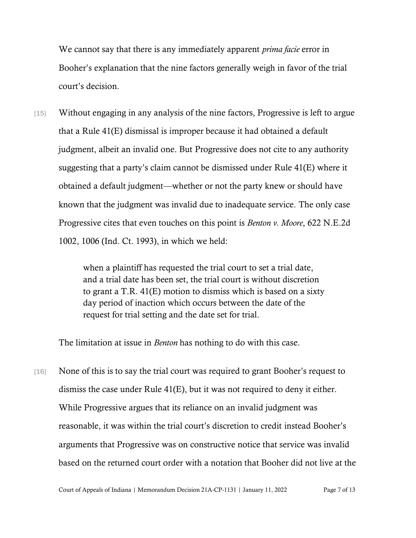We cannot say that there is any immediately apparent *prima facie* error in Booher's explanation that the nine factors generally weigh in favor of the trial court's decision.

[15] Without engaging in any analysis of the nine factors, Progressive is left to argue that a Rule 41(E) dismissal is improper because it had obtained a default judgment, albeit an invalid one. But Progressive does not cite to any authority suggesting that a party's claim cannot be dismissed under Rule 41(E) where it obtained a default judgment—whether or not the party knew or should have known that the judgment was invalid due to inadequate service. The only case Progressive cites that even touches on this point is *Benton v. Moore*, 622 N.E.2d 1002, 1006 (Ind. Ct. 1993), in which we held:

> when a plaintiff has requested the trial court to set a trial date, and a trial date has been set, the trial court is without discretion to grant a T.R. 41(E) motion to dismiss which is based on a sixty day period of inaction which occurs between the date of the request for trial setting and the date set for trial.

The limitation at issue in *Benton* has nothing to do with this case.

[16] None of this is to say the trial court was required to grant Booher's request to dismiss the case under Rule 41(E), but it was not required to deny it either. While Progressive argues that its reliance on an invalid judgment was reasonable, it was within the trial court's discretion to credit instead Booher's arguments that Progressive was on constructive notice that service was invalid based on the returned court order with a notation that Booher did not live at the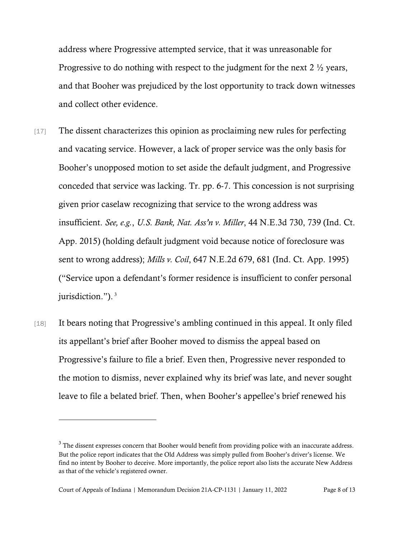address where Progressive attempted service, that it was unreasonable for Progressive to do nothing with respect to the judgment for the next 2 ½ years, and that Booher was prejudiced by the lost opportunity to track down witnesses and collect other evidence.

- [17] The dissent characterizes this opinion as proclaiming new rules for perfecting and vacating service. However, a lack of proper service was the only basis for Booher's unopposed motion to set aside the default judgment, and Progressive conceded that service was lacking. Tr. pp. 6-7. This concession is not surprising given prior caselaw recognizing that service to the wrong address was insufficient. *See, e.g.*, *U.S. Bank, Nat. Ass'n v. Miller*, 44 N.E.3d 730, 739 (Ind. Ct. App. 2015) (holding default judgment void because notice of foreclosure was sent to wrong address); *Mills v. Coil*, 647 N.E.2d 679, 681 (Ind. Ct. App. 1995) ("Service upon a defendant's former residence is insufficient to confer personal jurisdiction."). 3
- [18] It bears noting that Progressive's ambling continued in this appeal. It only filed its appellant's brief after Booher moved to dismiss the appeal based on Progressive's failure to file a brief. Even then, Progressive never responded to the motion to dismiss, never explained why its brief was late, and never sought leave to file a belated brief. Then, when Booher's appellee's brief renewed his

<sup>&</sup>lt;sup>3</sup> The dissent expresses concern that Booher would benefit from providing police with an inaccurate address. But the police report indicates that the Old Address was simply pulled from Booher's driver's license. We find no intent by Booher to deceive. More importantly, the police report also lists the accurate New Address as that of the vehicle's registered owner.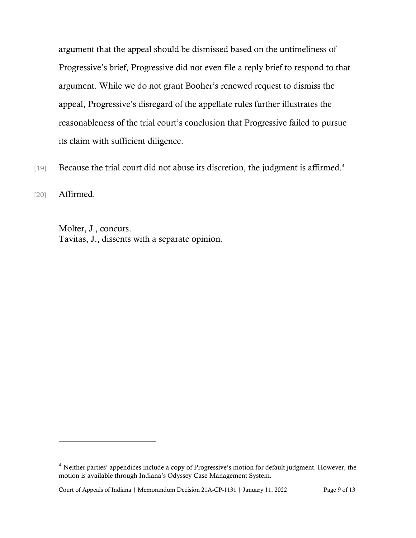argument that the appeal should be dismissed based on the untimeliness of Progressive's brief, Progressive did not even file a reply brief to respond to that argument. While we do not grant Booher's renewed request to dismiss the appeal, Progressive's disregard of the appellate rules further illustrates the reasonableness of the trial court's conclusion that Progressive failed to pursue its claim with sufficient diligence.

[19] Because the trial court did not abuse its discretion, the judgment is affirmed.<sup>4</sup>

[20] **Affirmed.** 

Molter, J., concurs. Tavitas, J., dissents with a separate opinion.

<sup>&</sup>lt;sup>4</sup> Neither parties' appendices include a copy of Progressive's motion for default judgment. However, the motion is available through Indiana's Odyssey Case Management System.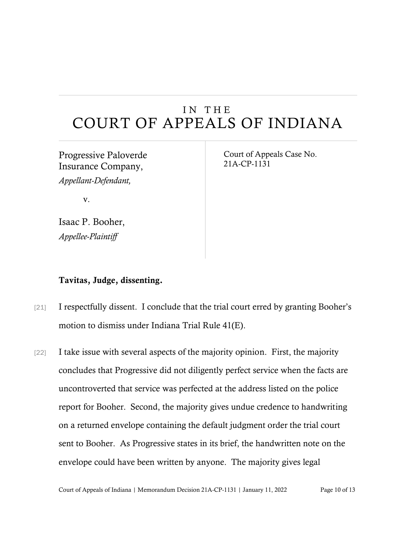## IN THE COURT OF APPEALS OF INDIANA

## Progressive Paloverde Insurance Company,

*Appellant-Defendant,*

v.

Isaac P. Booher, *Appellee-Plaintiff*

Court of Appeals Case No. 21A-CP-1131

#### Tavitas, Judge, dissenting.

- [21] I respectfully dissent. I conclude that the trial court erred by granting Booher's motion to dismiss under Indiana Trial Rule 41(E).
- [22] I take issue with several aspects of the majority opinion. First, the majority concludes that Progressive did not diligently perfect service when the facts are uncontroverted that service was perfected at the address listed on the police report for Booher. Second, the majority gives undue credence to handwriting on a returned envelope containing the default judgment order the trial court sent to Booher. As Progressive states in its brief, the handwritten note on the envelope could have been written by anyone. The majority gives legal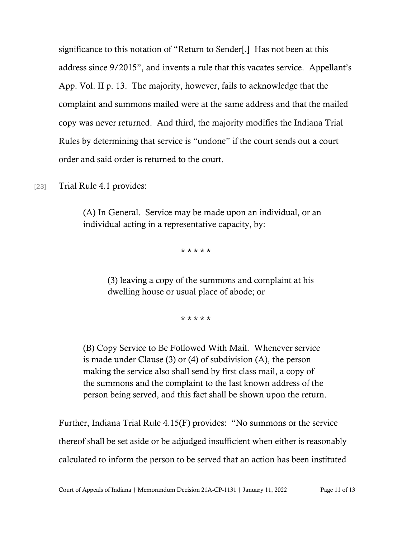significance to this notation of "Return to Sender[.] Has not been at this address since 9/2015", and invents a rule that this vacates service. Appellant's App. Vol. II p. 13. The majority, however, fails to acknowledge that the complaint and summons mailed were at the same address and that the mailed copy was never returned. And third, the majority modifies the Indiana Trial Rules by determining that service is "undone" if the court sends out a court order and said order is returned to the court.

[23] Trial Rule 4.1 provides:

(A) In General. Service may be made upon an individual, or an individual acting in a representative capacity, by:

\* \* \* \* \*

(3) leaving a copy of the summons and complaint at his dwelling house or usual place of abode; or

\* \* \* \* \*

(B) Copy Service to Be Followed With Mail. Whenever service is made under Clause (3) or (4) of subdivision (A), the person making the service also shall send by first class mail, a copy of the summons and the complaint to the last known address of the person being served, and this fact shall be shown upon the return.

Further, Indiana Trial Rule 4.15(F) provides: "No summons or the service thereof shall be set aside or be adjudged insufficient when either is reasonably calculated to inform the person to be served that an action has been instituted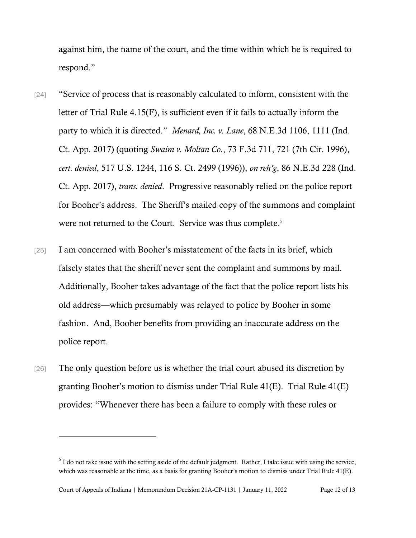against him, the name of the court, and the time within which he is required to respond."

- [24] "Service of process that is reasonably calculated to inform, consistent with the letter of Trial Rule 4.15(F), is sufficient even if it fails to actually inform the party to which it is directed." *Menard, Inc. v. Lane*, 68 N.E.3d 1106, 1111 (Ind. Ct. App. 2017) (quoting *Swaim v. Moltan Co.*, 73 F.3d 711, 721 (7th Cir. 1996), *cert. denied*, 517 U.S. 1244, 116 S. Ct. 2499 (1996)), *on reh'g*, 86 N.E.3d 228 (Ind. Ct. App. 2017), *trans. denied*. Progressive reasonably relied on the police report for Booher's address. The Sheriff's mailed copy of the summons and complaint were not returned to the Court. Service was thus complete. 5
- [25] I am concerned with Booher's misstatement of the facts in its brief, which falsely states that the sheriff never sent the complaint and summons by mail. Additionally, Booher takes advantage of the fact that the police report lists his old address—which presumably was relayed to police by Booher in some fashion. And, Booher benefits from providing an inaccurate address on the police report.
- [26] The only question before us is whether the trial court abused its discretion by granting Booher's motion to dismiss under Trial Rule 41(E). Trial Rule 41(E) provides: "Whenever there has been a failure to comply with these rules or

 $<sup>5</sup>$  I do not take issue with the setting aside of the default judgment. Rather, I take issue with using the service,</sup> which was reasonable at the time, as a basis for granting Booher's motion to dismiss under Trial Rule 41(E).